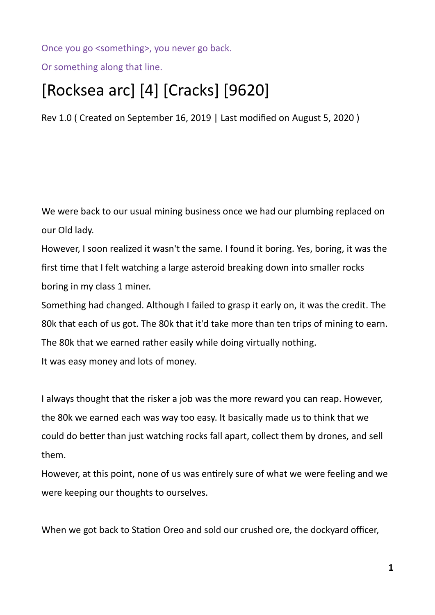Once you go <something>, you never go back.

Or something along that line.

## [Rocksea arc] [4] [Cracks] [9620]

Rev 1.0 ( Created on September 16, 2019 | Last modified on August 5, 2020 )

We were back to our usual mining business once we had our plumbing replaced on our Old lady.

However, I soon realized it wasn't the same. I found it boring. Yes, boring, it was the first time that I felt watching a large asteroid breaking down into smaller rocks boring in my class 1 miner.

Something had changed. Although I failed to grasp it early on, it was the credit. The 80k that each of us got. The 80k that it'd take more than ten trips of mining to earn. The 80k that we earned rather easily while doing virtually nothing. It was easy money and lots of money.

I always thought that the risker a job was the more reward you can reap. However, the 80k we earned each was way too easy. It basically made us to think that we could do better than just watching rocks fall apart, collect them by drones, and sell them.

However, at this point, none of us was entirely sure of what we were feeling and we were keeping our thoughts to ourselves.

When we got back to Station Oreo and sold our crushed ore, the dockyard officer,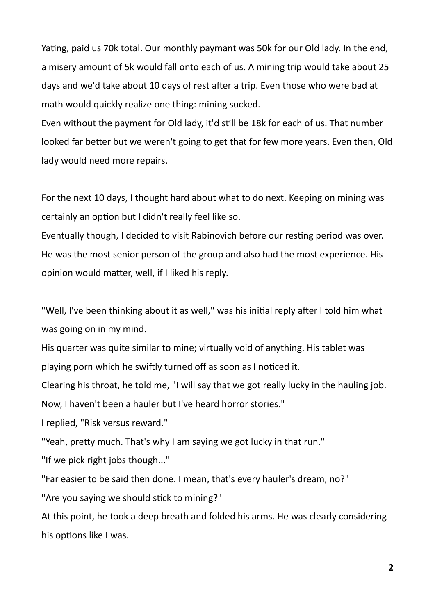Yating, paid us 70k total. Our monthly paymant was 50k for our Old lady. In the end, a misery amount of 5k would fall onto each of us. A mining trip would take about 25 days and we'd take about 10 days of rest after a trip. Even those who were bad at math would quickly realize one thing: mining sucked.

Even without the payment for Old lady, it'd still be 18k for each of us. That number looked far better but we weren't going to get that for few more years. Even then, Old lady would need more repairs.

For the next 10 days, I thought hard about what to do next. Keeping on mining was certainly an option but I didn't really feel like so.

Eventually though, I decided to visit Rabinovich before our resting period was over. He was the most senior person of the group and also had the most experience. His opinion would matter, well, if I liked his reply.

"Well, I've been thinking about it as well," was his initial reply after I told him what was going on in my mind.

His quarter was quite similar to mine; virtually void of anything. His tablet was playing porn which he swiftly turned off as soon as I noticed it.

Clearing his throat, he told me, "I will say that we got really lucky in the hauling job.

Now, I haven't been a hauler but I've heard horror stories."

I replied, "Risk versus reward."

"Yeah, pretty much. That's why I am saying we got lucky in that run."

"If we pick right jobs though..."

"Far easier to be said then done. I mean, that's every hauler's dream, no?"

"Are you saying we should stick to mining?"

At this point, he took a deep breath and folded his arms. He was clearly considering his options like I was.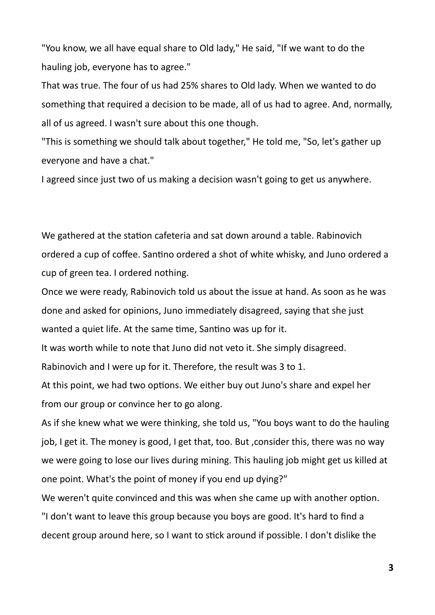"You know, we all have equal share to Old lady," He said, "If we want to do the hauling job, everyone has to agree."

That was true. The four of us had 25% shares to Old lady. When we wanted to do something that required a decision to be made, all of us had to agree. And, normally, all of us agreed. I wasn't sure about this one though.

"This is something we should talk about together," He told me, "So, let's gather up everyone and have a chat."

I agreed since just two of us making a decision wasn't going to get us anywhere.

We gathered at the station cafeteria and sat down around a table. Rabinovich ordered a cup of coffee. Santino ordered a shot of white whisky, and Juno ordered a cup of green tea. I ordered nothing.

Once we were ready, Rabinovich told us about the issue at hand. As soon as he was done and asked for opinions, Juno immediately disagreed, saying that she just wanted a quiet life. At the same time, Santino was up for it.

It was worth while to note that Juno did not veto it. She simply disagreed.

Rabinovich and I were up for it. Therefore, the result was 3 to 1.

At this point, we had two options. We either buy out Juno's share and expel her from our group or convince her to go along.

As if she knew what we were thinking, she told us, "You boys want to do the hauling job, I get it. The money is good, I get that, too. But , consider this, there was no way we were going to lose our lives during mining. This hauling job might get us killed at one point. What's the point of money if you end up dying?"

We weren't quite convinced and this was when she came up with another option. "I don't want to leave this group because you boys are good. It's hard to find a decent group around here, so I want to stick around if possible. I don't dislike the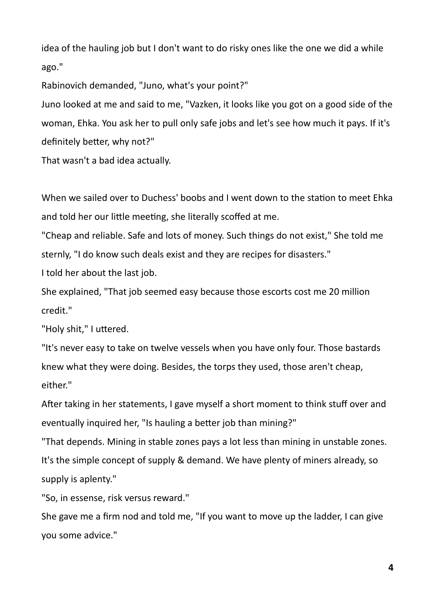idea of the hauling job but I don't want to do risky ones like the one we did a while ago."

Rabinovich demanded, "Juno, what's your point?"

Juno looked at me and said to me, "Vazken, it looks like you got on a good side of the woman, Ehka. You ask her to pull only safe jobs and let's see how much it pays. If it's definitely better, why not?"

That wasn't a bad idea actually.

When we sailed over to Duchess' boobs and I went down to the station to meet Ehka and told her our little meeting, she literally scoffed at me.

"Cheap and reliable. Safe and lots of money. Such things do not exist," She told me sternly, "I do know such deals exist and they are recipes for disasters."

I told her about the last job.

She explained, "That job seemed easy because those escorts cost me 20 million credit."

"Holy shit," I uttered.

"It's never easy to take on twelve vessels when you have only four. Those bastards knew what they were doing. Besides, the torps they used, those aren't cheap, either."

After taking in her statements, I gave myself a short moment to think stuff over and eventually inquired her, "Is hauling a better job than mining?"

"That depends. Mining in stable zones pays a lot less than mining in unstable zones. It's the simple concept of supply & demand. We have plenty of miners already, so supply is aplenty."

"So, in essense, risk versus reward."

She gave me a firm nod and told me, "If you want to move up the ladder, I can give you some advice."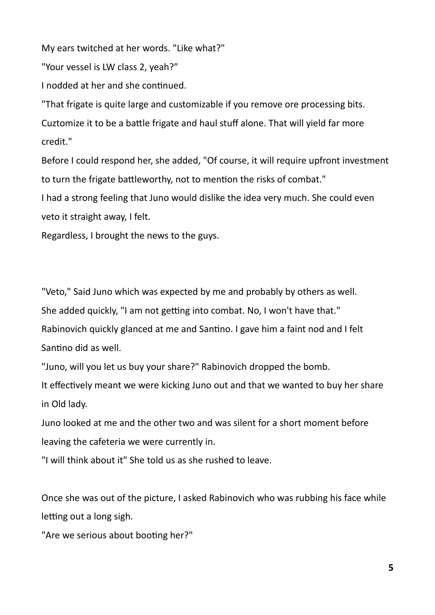My ears twitched at her words. "Like what?"

"Your vessel is LW class 2, yeah?"

I nodded at her and she continued.

"That frigate is quite large and customizable if you remove ore processing bits. Cuztomize it to be a battle frigate and haul stuff alone. That will yield far more credit."

Before I could respond her, she added, "Of course, it will require upfront investment to turn the frigate battleworthy, not to mention the risks of combat."

I had a strong feeling that Juno would dislike the idea very much. She could even veto it straight away, I felt.

Regardless, I brought the news to the guys.

"Veto," Said Juno which was expected by me and probably by others as well.

She added quickly, "I am not getting into combat. No, I won't have that."

Rabinovich quickly glanced at me and Santino. I gave him a faint nod and I felt Santino did as well.

"Juno, will you let us buy your share?" Rabinovich dropped the bomb.

It effectively meant we were kicking Juno out and that we wanted to buy her share in Old lady.

Juno looked at me and the other two and was silent for a short moment before leaving the cafeteria we were currently in.

"I will think about it" She told us as she rushed to leave.

Once she was out of the picture, I asked Rabinovich who was rubbing his face while letting out a long sigh.

"Are we serious about booting her?"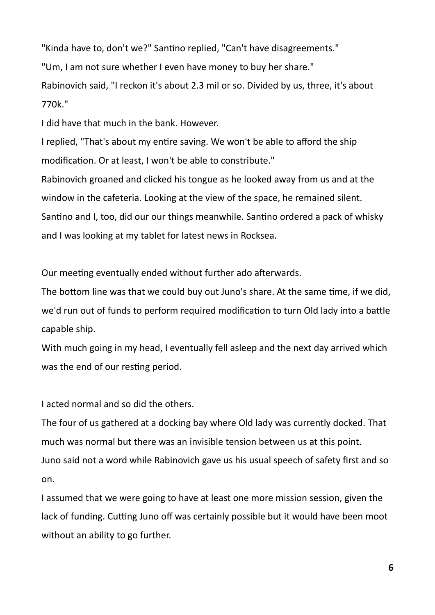"Kinda have to, don't we?" Santino replied, "Can't have disagreements." "Um, I am not sure whether I even have money to buy her share." Rabinovich said, "I reckon it's about 2.3 mil or so. Divided by us, three, it's about 770k."

I did have that much in the bank. However.

I replied, "That's about my entire saving. We won't be able to afford the ship modification. Or at least, I won't be able to constribute."

Rabinovich groaned and clicked his tongue as he looked away from us and at the window in the cafeteria. Looking at the view of the space, he remained silent. Santino and I, too, did our our things meanwhile. Santino ordered a pack of whisky and I was looking at my tablet for latest news in Rocksea.

Our meeting eventually ended without further ado afterwards.

The bottom line was that we could buy out Juno's share. At the same time, if we did, we'd run out of funds to perform required modification to turn Old lady into a battle capable ship.

With much going in my head, I eventually fell asleep and the next day arrived which was the end of our resting period.

I acted normal and so did the others.

The four of us gathered at a docking bay where Old lady was currently docked. That much was normal but there was an invisible tension between us at this point. Juno said not a word while Rabinovich gave us his usual speech of safety first and so on.

I assumed that we were going to have at least one more mission session, given the lack of funding. Cutting Juno off was certainly possible but it would have been moot without an ability to go further.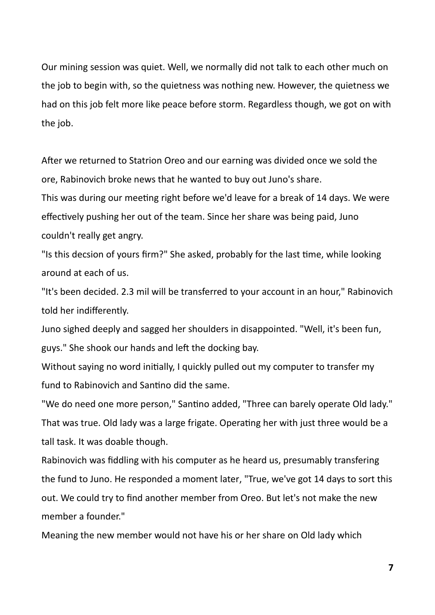Our mining session was quiet. Well, we normally did not talk to each other much on the job to begin with, so the quietness was nothing new. However, the quietness we had on this job felt more like peace before storm. Regardless though, we got on with the job.

After we returned to Statrion Oreo and our earning was divided once we sold the ore, Rabinovich broke news that he wanted to buy out Juno's share.

This was during our meeting right before we'd leave for a break of 14 days. We were effectively pushing her out of the team. Since her share was being paid, Juno couldn't really get angry.

"Is this decsion of yours firm?" She asked, probably for the last time, while looking around at each of us.

"It's been decided. 2.3 mil will be transferred to your account in an hour," Rabinovich told her indifferently.

Juno sighed deeply and sagged her shoulders in disappointed. "Well, it's been fun, guys." She shook our hands and left the docking bay.

Without saying no word initially, I quickly pulled out my computer to transfer my fund to Rabinovich and Santino did the same.

"We do need one more person," Santino added, "Three can barely operate Old lady." That was true. Old lady was a large frigate. Operating her with just three would be a tall task. It was doable though.

Rabinovich was fiddling with his computer as he heard us, presumably transfering the fund to Juno. He responded a moment later, "True, we've got 14 days to sort this out. We could try to find another member from Oreo. But let's not make the new member a founder."

Meaning the new member would not have his or her share on Old lady which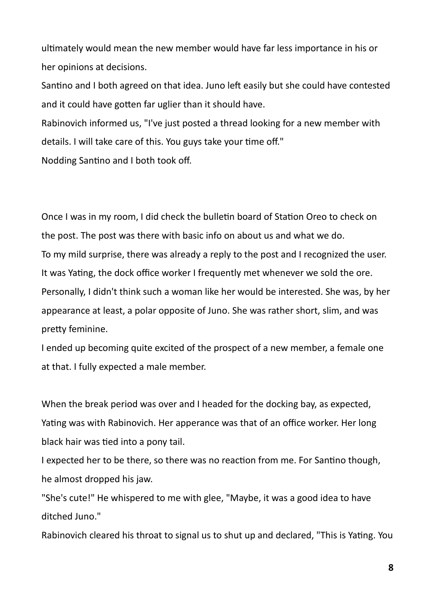ultimately would mean the new member would have far less importance in his or her opinions at decisions.

Santino and I both agreed on that idea. Juno left easily but she could have contested and it could have gotten far uglier than it should have.

Rabinovich informed us, "I've just posted a thread looking for a new member with details. I will take care of this. You guys take your time off."

Nodding Santino and I both took off.

Once I was in my room, I did check the bulletin board of Station Oreo to check on the post. The post was there with basic info on about us and what we do. To my mild surprise, there was already a reply to the post and I recognized the user. It was Yating, the dock office worker I frequently met whenever we sold the ore. Personally, I didn't think such a woman like her would be interested. She was, by her appearance at least, a polar opposite of Juno. She was rather short, slim, and was pretty feminine.

I ended up becoming quite excited of the prospect of a new member, a female one at that. I fully expected a male member.

When the break period was over and I headed for the docking bay, as expected, Yating was with Rabinovich. Her apperance was that of an office worker. Her long black hair was tied into a pony tail.

I expected her to be there, so there was no reaction from me. For Santino though, he almost dropped his jaw.

"She's cute!" He whispered to me with glee, "Maybe, it was a good idea to have ditched Juno."

Rabinovich cleared his throat to signal us to shut up and declared, "This is Yating. You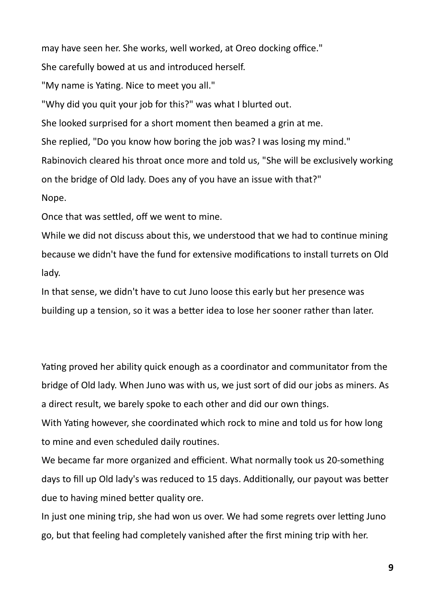may have seen her. She works, well worked, at Oreo docking office."

She carefully bowed at us and introduced herself.

"My name is Yating. Nice to meet you all."

"Why did you quit your job for this?" was what I blurted out.

She looked surprised for a short moment then beamed a grin at me.

She replied, "Do you know how boring the job was? I was losing my mind."

Rabinovich cleared his throat once more and told us, "She will be exclusively working on the bridge of Old lady. Does any of you have an issue with that?"

Nope.

Once that was settled, off we went to mine.

While we did not discuss about this, we understood that we had to continue mining because we didn't have the fund for extensive modifications to install turrets on Old lady.

In that sense, we didn't have to cut Juno loose this early but her presence was building up a tension, so it was a better idea to lose her sooner rather than later.

Yating proved her ability quick enough as a coordinator and communitator from the bridge of Old lady. When Juno was with us, we just sort of did our jobs as miners. As a direct result, we barely spoke to each other and did our own things.

With Yating however, she coordinated which rock to mine and told us for how long to mine and even scheduled daily routines.

We became far more organized and efficient. What normally took us 20-something days to fill up Old lady's was reduced to 15 days. Additionally, our payout was better due to having mined better quality ore.

In just one mining trip, she had won us over. We had some regrets over letting Juno go, but that feeling had completely vanished after the first mining trip with her.

**9**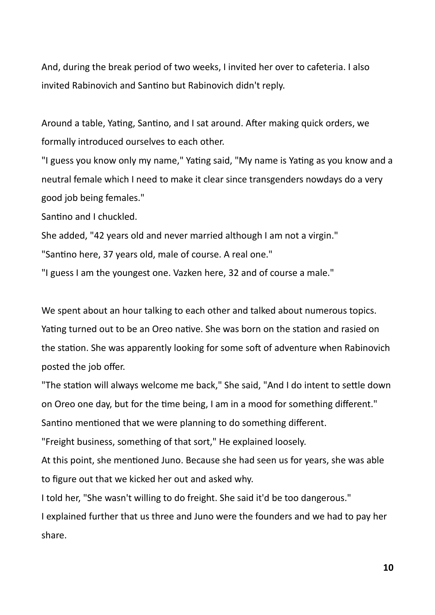And, during the break period of two weeks, I invited her over to cafeteria. I also invited Rabinovich and Santino but Rabinovich didn't reply.

Around a table, Yating, Santino, and I sat around. After making quick orders, we formally introduced ourselves to each other.

"I guess you know only my name," Yating said, "My name is Yating as you know and a neutral female which I need to make it clear since transgenders nowdays do a very good job being females."

Santino and I chuckled.

She added, "42 years old and never married although I am not a virgin."

"Santino here, 37 years old, male of course. A real one."

"I guess I am the youngest one. Vazken here, 32 and of course a male."

We spent about an hour talking to each other and talked about numerous topics. Yating turned out to be an Oreo native. She was born on the station and rasied on the station. She was apparently looking for some soft of adventure when Rabinovich posted the job offer.

"The station will always welcome me back," She said, "And I do intent to settle down on Oreo one day, but for the time being, I am in a mood for something different." Santino mentioned that we were planning to do something different.

"Freight business, something of that sort," He explained loosely.

At this point, she mentioned Juno. Because she had seen us for years, she was able to figure out that we kicked her out and asked why.

I told her, "She wasn't willing to do freight. She said it'd be too dangerous."

I explained further that us three and Juno were the founders and we had to pay her share.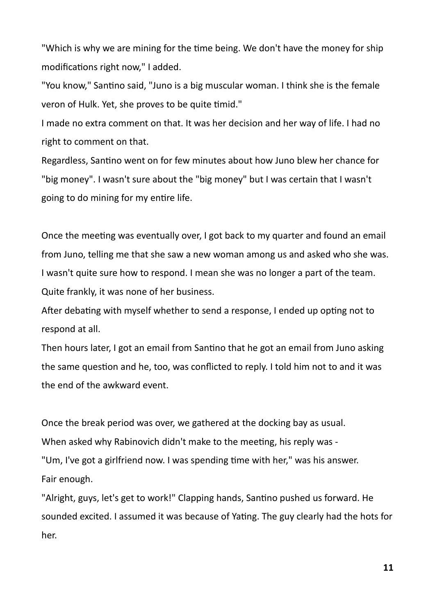"Which is why we are mining for the time being. We don't have the money for ship modifications right now," I added.

"You know," Santino said, "Juno is a big muscular woman. I think she is the female veron of Hulk. Yet, she proves to be quite timid."

I made no extra comment on that. It was her decision and her way of life. I had no right to comment on that.

Regardless, Santino went on for few minutes about how Juno blew her chance for "big money". I wasn't sure about the "big money" but I was certain that I wasn't going to do mining for my entire life.

Once the meeting was eventually over, I got back to my quarter and found an email from Juno, telling me that she saw a new woman among us and asked who she was. I wasn't quite sure how to respond. I mean she was no longer a part of the team. Quite frankly, it was none of her business.

After debating with myself whether to send a response, I ended up opting not to respond at all.

Then hours later, I got an email from Santino that he got an email from Juno asking the same question and he, too, was conflicted to reply. I told him not to and it was the end of the awkward event.

Once the break period was over, we gathered at the docking bay as usual. When asked why Rabinovich didn't make to the meeting, his reply was - "Um, I've got a girlfriend now. I was spending time with her," was his answer. Fair enough.

"Alright, guys, let's get to work!" Clapping hands, Santino pushed us forward. He sounded excited. I assumed it was because of Yating. The guy clearly had the hots for her.

**11**